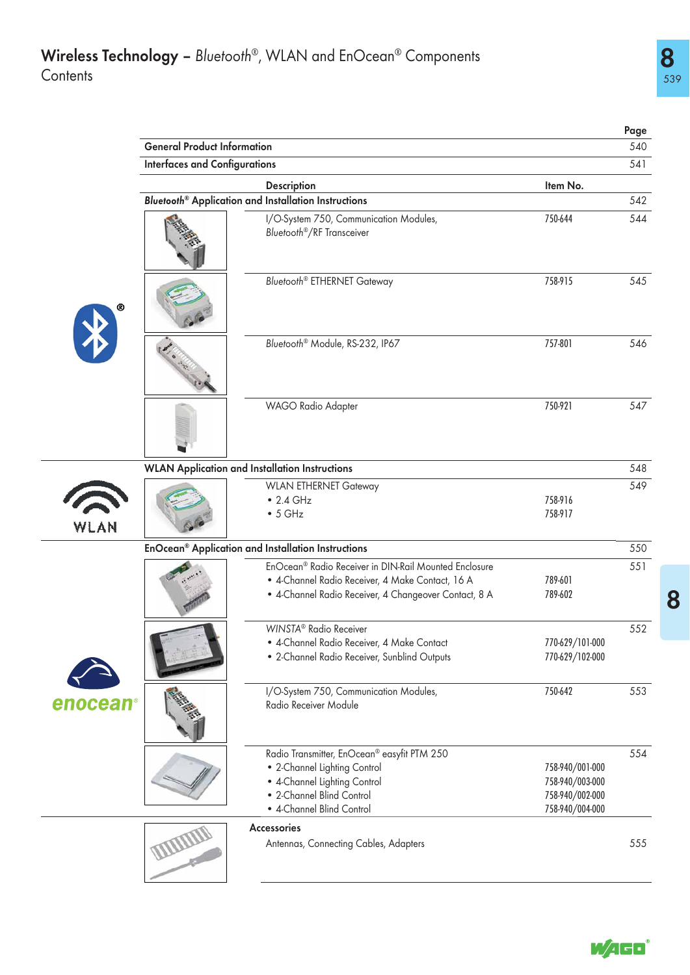|          |                                      |                                                                                                                                                                                |                                                                          | Page |
|----------|--------------------------------------|--------------------------------------------------------------------------------------------------------------------------------------------------------------------------------|--------------------------------------------------------------------------|------|
|          | <b>General Product Information</b>   |                                                                                                                                                                                |                                                                          | 540  |
|          | <b>Interfaces and Configurations</b> |                                                                                                                                                                                |                                                                          | 541  |
|          |                                      | Description                                                                                                                                                                    | Item No.                                                                 |      |
|          |                                      | Bluetooth <sup>®</sup> Application and Installation Instructions                                                                                                               |                                                                          | 542  |
|          |                                      | I/O-System 750, Communication Modules,<br>Bluetooth <sup>®</sup> /RF Transceiver                                                                                               | 750-644                                                                  | 544  |
|          |                                      | <b>Bluetooth<sup>®</sup></b> ETHERNET Gateway                                                                                                                                  | 758-915                                                                  | 545  |
|          |                                      | Bluetooth® Module, RS-232, IP67                                                                                                                                                | 757-801                                                                  | 546  |
|          |                                      | WAGO Radio Adapter                                                                                                                                                             | 750-921                                                                  | 547  |
|          |                                      | <b>WLAN Application and Installation Instructions</b>                                                                                                                          |                                                                          | 548  |
|          |                                      | <b>WLAN ETHERNET Gateway</b>                                                                                                                                                   |                                                                          | 549  |
| WLAN     |                                      | $\bullet$ 2.4 GHz<br>$\bullet$ 5 GHz                                                                                                                                           | 758-916<br>758-917                                                       |      |
|          |                                      | EnOcean® Application and Installation Instructions                                                                                                                             |                                                                          | 550  |
|          |                                      | EnOcean <sup>®</sup> Radio Receiver in DIN-Rail Mounted Enclosure<br>· 4-Channel Radio Receiver, 4 Make Contact, 16 A<br>· 4-Channel Radio Receiver, 4 Changeover Contact, 8 A | 789-601<br>789-602                                                       | 551  |
|          |                                      | WINSTA <sup>®</sup> Radio Receiver<br>• 4-Channel Radio Receiver, 4 Make Contact<br>• 2-Channel Radio Receiver, Sunblind Outputs                                               | 770-629/101-000<br>770-629/102-000                                       | 552  |
| enocean® |                                      | I/O-System 750, Communication Modules,<br>Radio Receiver Module                                                                                                                | 750-642                                                                  | 553  |
|          |                                      | Radio Transmitter, EnOcean® easyfit PTM 250<br>• 2-Channel Lighting Control<br>• 4-Channel Lighting Control<br>• 2-Channel Blind Control<br>• 4-Channel Blind Control          | 758-940/001-000<br>758-940/003-000<br>758-940/002-000<br>758-940/004-000 | 554  |
|          |                                      | <b>Accessories</b><br>Antennas, Connecting Cables, Adapters                                                                                                                    |                                                                          | 555  |



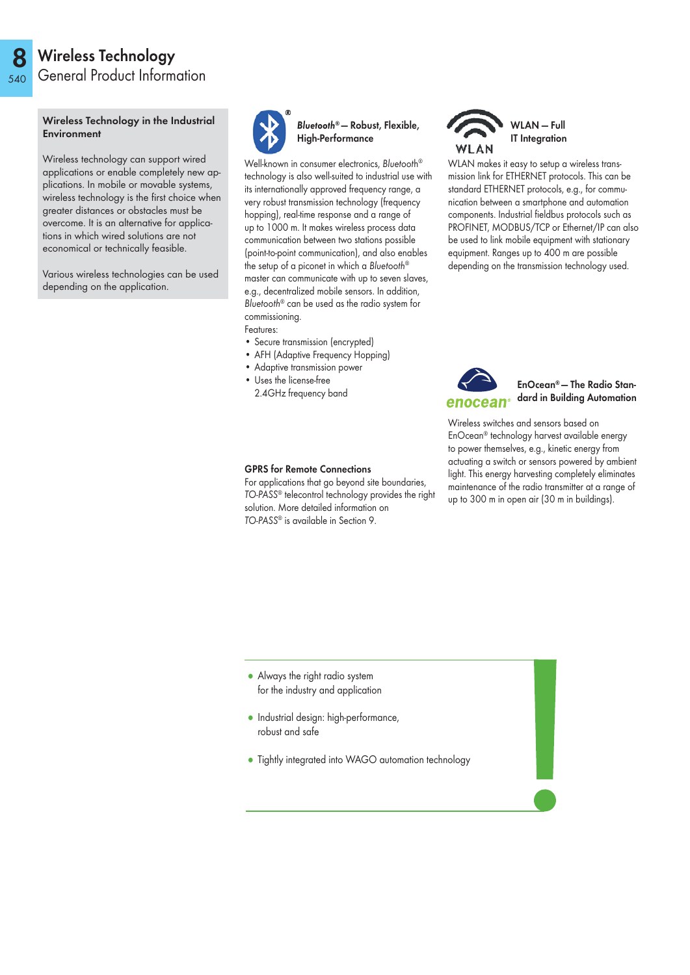### 8 540 Wireless Technology General Product Information

### Wireless Technology in the Industrial Environment

Wireless technology can support wired applications or enable completely new applications. In mobile or movable systems, wireless technology is the first choice when greater distances or obstacles must be overcome. It is an alternative for applications in which wired solutions are not economical or technically feasible.

Various wireless technologies can be used depending on the application.



Bluetooth® — Robust, Flexible, High-Performance

Well-known in consumer electronics, Bluetooth® technology is also well-suited to industrial use with its internationally approved frequency range, a very robust transmission technology (frequency hopping), real-time response and a range of up to 1000 m. It makes wireless process data communication between two stations possible (point-to-point communication), and also enables the setup of a piconet in which a Bluetooth® master can communicate with up to seven slaves, e.g., decentralized mobile sensors. In addition, Bluetooth® can be used as the radio system for commissioning. Features:

- Secure transmission (encrypted)
- AFH (Adaptive Frequency Hopping)
- Adaptive transmission power
- Uses the license-free 2.4GHz frequency band



WLAN makes it easy to setup a wireless transmission link for ETHERNET protocols. This can be standard ETHERNET protocols, e.g., for communication between a smartphone and automation components. Industrial fieldbus protocols such as PROFINET, MODBUS/TCP or Ethernet/IP can also be used to link mobile equipment with stationary equipment. Ranges up to 400 m are possible depending on the transmission technology used.



EnOcean® — The Radio Standard in Building Automation

### GPRS for Remote Connections

For applications that go beyond site boundaries, TO-PASS® telecontrol technology provides the right solution. More detailed information on TO-PASS® is available in Section 9.

Wireless switches and sensors based on EnOcean® technology harvest available energy to power themselves, e.g., kinetic energy from actuating a switch or sensors powered by ambient light. This energy harvesting completely eliminates maintenance of the radio transmitter at a range of up to 300 m in open air (30 m in buildings).

- Always the right radio system for the industry and application
- Industrial design: high-performance, robust and safe
- Tightly integrated into WAGO automation technology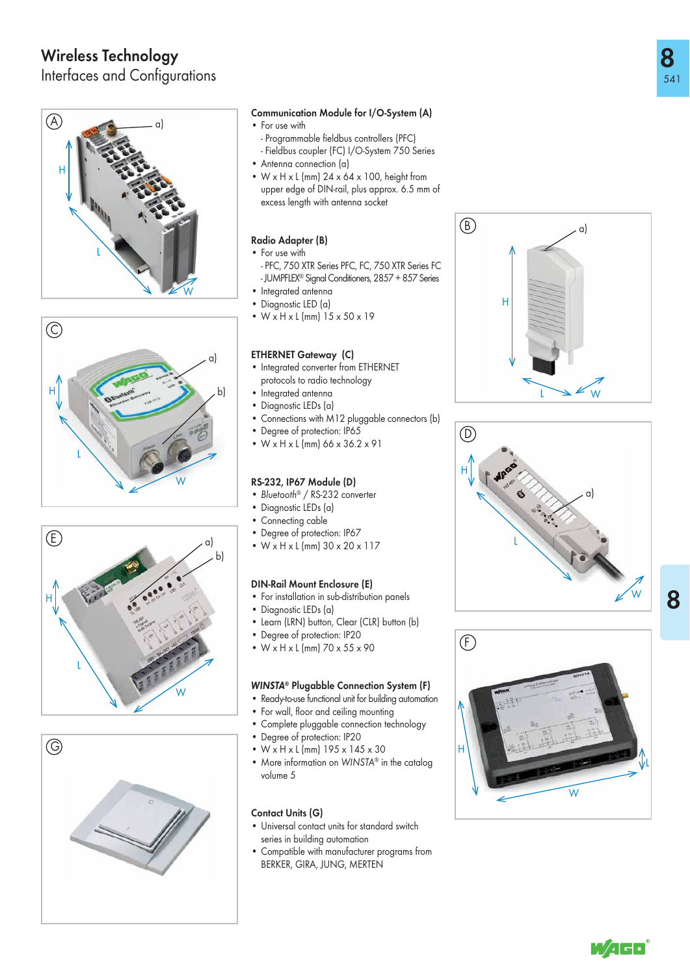# Wireless Technology

Interfaces and Configurations









# Communication Module for I/O-System (A)

- For use with
	- Programmable fieldbus controllers (PFC)
	- Fieldbus coupler (FC) I/O-System 750 Series
- Antenna connection (a)
- $W \times H \times L$  (mm) 24  $\times$  64  $\times$  100, height from upper edge of DIN-rail, plus approx. 6.5 mm of excess length with antenna socket

# Radio Adapter (B)

- For use with
- PFC, 750 XTR Series PFC, FC, 750 XTR Series FC - JUMPFLEX® Signal Conditioners, 2857 + 857 Series
- 
- Integrated antenna<br>• Diganostic LED (a) • Diagnostic LED (a)
- W x H x L (mm) 15 x 50 x 19

# ETHERNET Gateway (C)

- Integrated converter from ETHERNET protocols to radio technology
- Integrated antenna
- Diagnostic LEDs (a)
- Connections with M12 pluggable connectors (b)
- Degree of protection: IP65
- W x H x L (mm) 66 x 36.2 x 91

# RS-232, IP67 Module (D)

- Bluetooth<sup>®</sup> / RS-232 converter
- Diagnostic LEDs (a)
- Connecting cable
- Degree of protection: IP67
- $W \times H \times L$  (mm)  $30 \times 20 \times 117$

# DIN-Rail Mount Enclosure (E)

- For installation in sub-distribution panels
- Diagnostic LEDs (a)
- Learn (LRN) button, Clear (CLR) button (b)
- Degree of protection: IP20
- W x H x L (mm) 70 x 55 x 90

# WINSTA ® Plugabble Connection System (F)

- Ready-to-use functional unit for building automation
- For wall, floor and ceiling mounting
- Complete pluggable connection technology
- Degree of protection: IP20
- W x H x L (mm) 195 x 145 x 30
- More information on WINSTA<sup>®</sup> in the catalog volume 5

# Contact Units (G)

- Universal contact units for standard switch series in building automation
- Compatible with manufacturer programs from BERKER, GIRA, JUNG, MERTEN







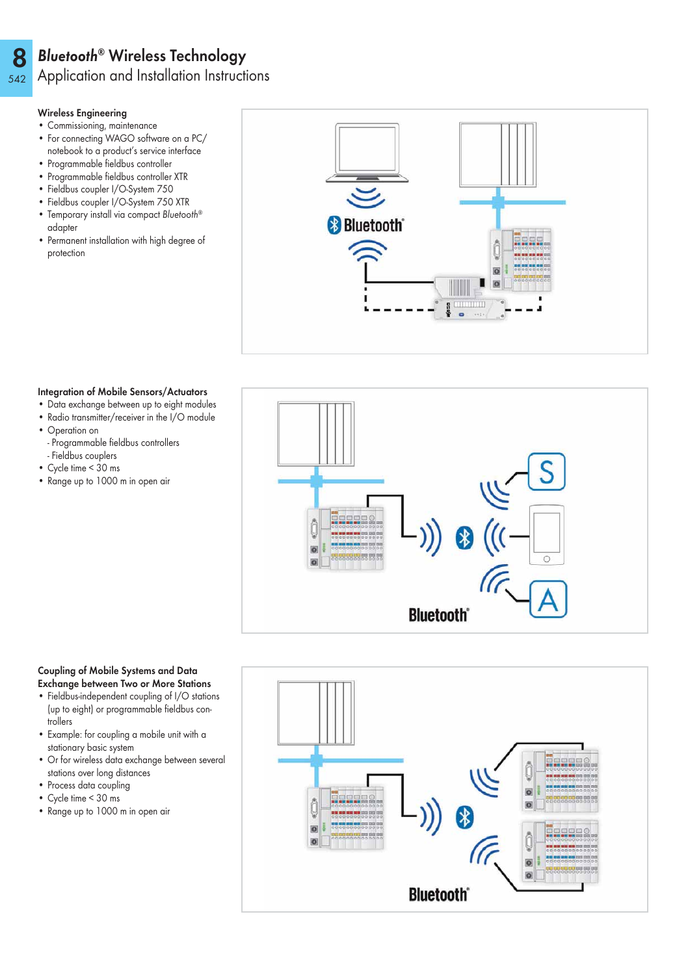### 8 Bluetooth® Wireless Technology

Application and Installation Instructions

# Wireless Engineering

542

- Commissioning, maintenance
- For connecting WAGO software on a PC/ notebook to a product's service interface
- Programmable fieldbus controller
- Programmable fieldbus controller XTR
- Fieldbus coupler I/O-System 750
- Fieldbus coupler I/O-System 750 XTR • Temporary install via compact Bluetooth®
- adapter
- Permanent installation with high degree of protection



# Integration of Mobile Sensors/Actuators

- Data exchange between up to eight modules
- Radio transmitter/receiver in the I/O module
- Operation on
- Programmable fieldbus controllers
- Fieldbus couplers
- Cycle time < 30 ms
- Range up to 1000 m in open air

# ö **Bluetooth**

# Coupling of Mobile Systems and Data Exchange between Two or More Stations

- Fieldbus-independent coupling of I/O stations (up to eight) or programmable fieldbus controllers
- Example: for coupling a mobile unit with a stationary basic system
- Or for wireless data exchange between several stations over long distances
- Process data coupling
- Cycle time < 30 ms
- Range up to 1000 m in open air

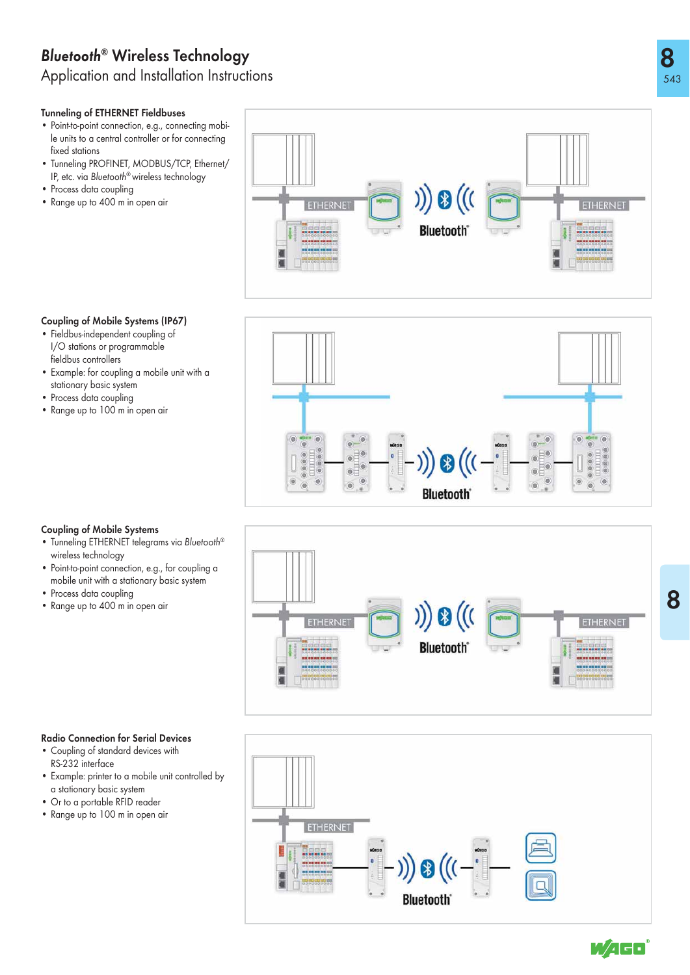# Bluetooth ® Wireless Technology

Application and Installation Instructions

# Tunneling of ETHERNET Fieldbuses

- Point-to-point connection, e.g., connecting mobile units to a central controller or for connecting fixed stations
- Tunneling PROFINET, MODBUS/TCP, Ethernet/ IP, etc. via Bluetooth® wireless technology
- Process data coupling
- Range up to 400 m in open air



# Coupling of Mobile Systems (IP67)

- Fieldbus-independent coupling of I/O stations or programmable fieldbus controllers
- Example: for coupling a mobile unit with a stationary basic system
- Process data coupling
- Range up to 100 m in open air



# Coupling of Mobile Systems

- Tunneling ETHERNET telegrams via Bluetooth® wireless technology
- Point-to-point connection, e.g., for coupling a mobile unit with a stationary basic system
- Process data coupling
- Range up to 400 m in open air





- Coupling of standard devices with RS-232 interface
- Example: printer to a mobile unit controlled by a stationary basic system
- Or to a portable RFID reader
- Range up to 100 m in open air



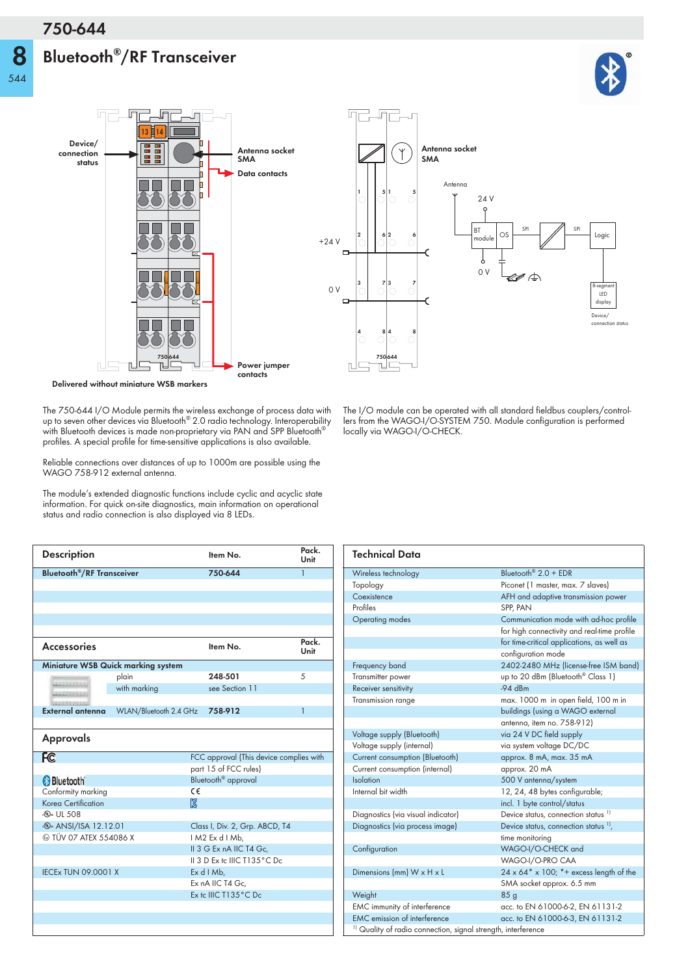# **Bluetooth®/RF Transceiver**

**8**



**Delivered without miniature WSB markers**

The 750-644 I/O Module permits the wireless exchange of process data with up to seven other devices via Bluetooth® 2.0 radio technology. Interoperability with Bluetooth devices is made non-proprietary via PAN and SPP Bluetooth $^\circ$ profiles. A special profile for time-sensitive applications is also available.

Reliable connections over distances of up to 1000m are possible using the WAGO 758-912 external antenna.

The module's extended diagnostic functions include cyclic and acyclic state information. For quick on-site diagnostics, main information on operational status and radio connection is also displayed via 8 LEDs.

| <b>Description</b>                          |                                    |          | Item No.                                | Pack.<br>Unit  |
|---------------------------------------------|------------------------------------|----------|-----------------------------------------|----------------|
| <b>Bluetooth<sup>®</sup>/RF Transceiver</b> |                                    |          | 750-644                                 | 1              |
|                                             |                                    |          |                                         |                |
|                                             |                                    |          |                                         |                |
|                                             |                                    |          |                                         |                |
|                                             |                                    |          |                                         |                |
|                                             |                                    |          |                                         |                |
| <b>Accessories</b>                          |                                    |          | Item No.                                | Pack.<br>Unit  |
|                                             | Miniature WSB Quick marking system |          |                                         |                |
| <b>SERVICE PRODUCT</b>                      | plain                              |          | 248-501                                 | 5              |
| <b>CERTIFICA</b>                            | with marking                       |          | see Section 11                          |                |
|                                             |                                    |          |                                         |                |
| External antenna                            | WLAN/Bluetooth 2.4 GHz             |          | 758-912                                 | $\overline{1}$ |
| <b>Approvals</b>                            |                                    |          |                                         |                |
| <b>FC</b>                                   |                                    |          | FCC approval (This device complies with |                |
|                                             |                                    |          | part 15 of FCC rules)                   |                |
| <b>Bluetooth</b>                            |                                    |          | Bluetooth <sup>®</sup> approval         |                |
| Conformity marking<br>Korea Certification   |                                    | C€<br>ð. |                                         |                |
| <b><i><b>W</b></i></b> UL 508               |                                    |          |                                         |                |
| <b>D</b> ANSI/ISA 12.12.01                  |                                    |          | Class I, Div. 2, Grp. ABCD, T4          |                |
| <b>E</b> TÜV 07 ATEX 554086 X               |                                    |          | IM2 Ex d I Mb,                          |                |
|                                             |                                    |          | II 3 G Ex nA IIC T4 Gc,                 |                |
|                                             |                                    |          | II 3 D Ex to IIIC T135°C Do             |                |
| <b>IECEx TUN 09.0001 X</b>                  |                                    |          | Ex d I Mb,                              |                |
|                                             |                                    |          | Ex nA IIC T4 Gc,                        |                |
|                                             |                                    |          | Ex tc IIIC T135°C Dc                    |                |
|                                             |                                    |          |                                         |                |
|                                             |                                    |          |                                         |                |
|                                             |                                    |          |                                         |                |

The I/O module can be operated with all standard fieldbus couplers/controllers from the WAGO-I/O-SYSTEM 750. Module configuration is performed locally via WAGO-I/O-CHECK.

| <b>Technical Data</b>                                                    |                                                                        |  |
|--------------------------------------------------------------------------|------------------------------------------------------------------------|--|
| Wireless technology                                                      | Bluetooth <sup>®</sup> $2.0 +$ EDR                                     |  |
| Topology                                                                 | Piconet (1 master, max. 7 slaves)                                      |  |
| Coexistence                                                              | AFH and adaptive transmission power                                    |  |
| Profiles                                                                 | SPP, PAN                                                               |  |
| <b>Operating modes</b>                                                   | Communication mode with ad-hoc profile                                 |  |
|                                                                          | for high connectivity and real-time profile                            |  |
|                                                                          | for time-critical applications, as well as                             |  |
|                                                                          | configuration mode                                                     |  |
| Frequency band                                                           | 2402-2480 MHz (license-free ISM band)                                  |  |
| Transmitter power                                                        | up to 20 dBm (Bluetooth <sup>®</sup> Class 1)                          |  |
| Receiver sensitivity                                                     | $-94$ dBm                                                              |  |
| Transmission range                                                       | max. 1000 m in open field, 100 m in                                    |  |
|                                                                          | buildings (using a WAGO external                                       |  |
|                                                                          | antenna, item no. 758-912)                                             |  |
| Voltage supply (Bluetooth)                                               | via 24 V DC field supply                                               |  |
| Voltage supply (internal)                                                | via system voltage DC/DC                                               |  |
| Current consumption (Bluetooth)                                          | approx. 8 mA, max. 35 mA                                               |  |
| Current consumption (internal)                                           | approx. 20 mA                                                          |  |
| Isolation                                                                | 500 V antenna/system                                                   |  |
| Internal bit width                                                       | 12, 24, 48 bytes configurable;                                         |  |
|                                                                          | incl. 1 byte control/status                                            |  |
| Diagnostics (via visual indicator)                                       | Device status, connection status <sup>1)</sup>                         |  |
| Diagnostics (via process image)                                          | Device status, connection status <sup>1</sup> ,                        |  |
|                                                                          | time monitoring                                                        |  |
| Configuration                                                            | WAGO-I/O-CHECK and                                                     |  |
|                                                                          | WAGO-I/O-PRO CAA                                                       |  |
| Dimensions (mm) W x H x L                                                | $24 \times 64$ <sup>*</sup> x 100; <sup>*</sup> + excess length of the |  |
|                                                                          | SMA socket approx. 6.5 mm                                              |  |
| Weight                                                                   | 85 <sub>q</sub>                                                        |  |
| EMC immunity of interference                                             | acc. to EN 61000-6-2, EN 61131-2                                       |  |
| <b>EMC</b> emission of interference                                      | acc. to EN 61000-6-3, EN 61131-2                                       |  |
| <sup>1)</sup> Quality of radio connection, signal strength, interference |                                                                        |  |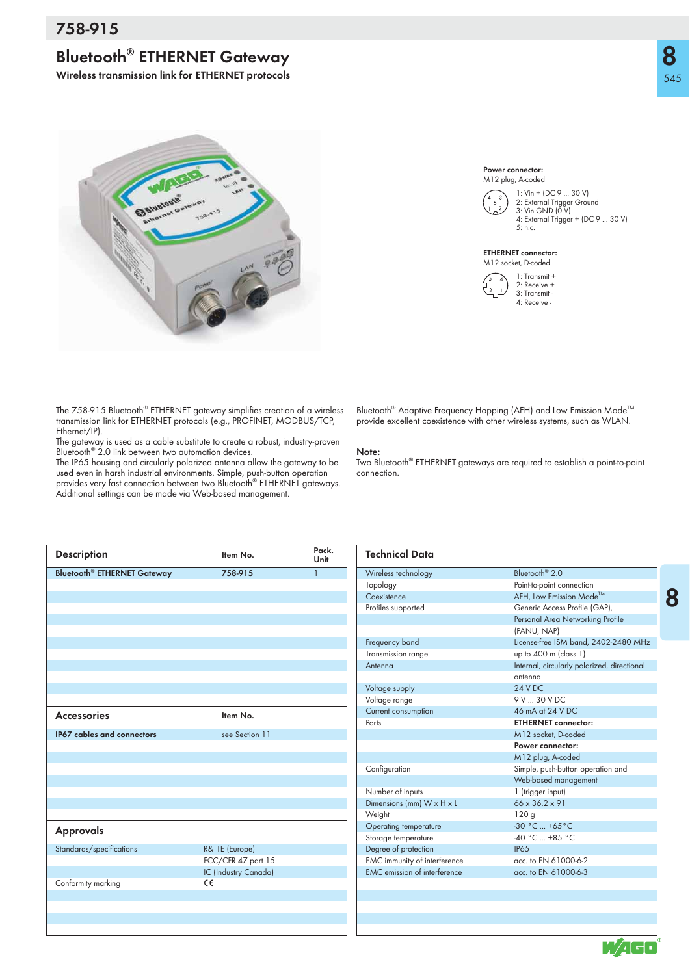# **Bluetooth® ETHERNET Gateway**

**Wireless transmission link for ETHERNET protocols**

**8**



The 758-915 Bluetooth® ETHERNET gateway simplifies creation of a wireless transmission link for ETHERNET protocols (e.g., PROFINET, MODBUS/TCP, Ethernet/IP).

The gateway is used as a cable substitute to create a robust, industry-proven Bluetooth® 2.0 link between two automation devices.

The IP65 housing and circularly polarized antenna allow the gateway to be used even in harsh industrial environments. Simple, push-button operation provides very fast connection between two Bluetooth® ETHERNET gateways. Additional settings can be made via Web-based management.

|  | Bluetooth <sup>®</sup> Adaptive Frequency Hopping (AFH) and Low Emission Mode™ |  |  |  |
|--|--------------------------------------------------------------------------------|--|--|--|

provide excellent coexistence with other wireless systems, such as WLAN.

1: Vin + (DC 9 ... 30 V) 2: External Trigger Ground 3: Vin GND (0 V) 4: External Trigger + (DC 9 ... 30 V)

5: n.c.

ETHERNET connector: M12 socket, D-coded

Power connector: M12 plug, A-coded

> 1: Transmit + 2: Receive + 3: Transmit - 4: Receive -

### **Note:**

Two Bluetooth® ETHERNET gateways are required to establish a point-to-point connection.

| <b>Description</b>                 | Item No.             | Pack.<br>Unit | <b>Technical Data</b>               |                                             |
|------------------------------------|----------------------|---------------|-------------------------------------|---------------------------------------------|
| <b>Bluetooth® ETHERNET Gateway</b> | 758-915              | $\mathbf{1}$  | Wireless technology                 | Bluetooth <sup>®</sup> 2.0                  |
|                                    |                      |               | Topology                            | Point-to-point connection                   |
|                                    |                      |               | Coexistence                         | AFH, Low Emission Mode™                     |
|                                    |                      |               | Profiles supported                  | Generic Access Profile (GAP),               |
|                                    |                      |               |                                     | Personal Area Networking Profile            |
|                                    |                      |               |                                     | (PANU, NAP)                                 |
|                                    |                      |               | Frequency band                      | License-free ISM band, 2402-2480 MHz        |
|                                    |                      |               | Transmission range                  | up to 400 m (class 1)                       |
|                                    |                      |               | Antenna                             | Internal, circularly polarized, directional |
|                                    |                      |               |                                     | antenna                                     |
|                                    |                      |               | Voltage supply                      | <b>24 V DC</b>                              |
|                                    |                      |               | Voltage range                       | 9 V  30 V DC                                |
| <b>Accessories</b>                 | Item No.             |               | Current consumption                 | 46 mA at 24 V DC                            |
|                                    |                      |               | Ports                               | <b>ETHERNET connector:</b>                  |
| IP67 cables and connectors         | see Section 11       |               |                                     | M12 socket, D-coded                         |
|                                    |                      |               |                                     | Power connector:                            |
|                                    |                      |               |                                     | M12 plug, A-coded                           |
|                                    |                      |               | Configuration                       | Simple, push-button operation and           |
|                                    |                      |               |                                     | Web-based management                        |
|                                    |                      |               | Number of inputs                    | 1 (trigger input)                           |
|                                    |                      |               | Dimensions (mm) W x H x L           | 66 x 36.2 x 91                              |
|                                    |                      |               | Weight                              | 120g                                        |
| <b>Approvals</b>                   |                      |               | Operating temperature               | $-30 °C  +65 °C$                            |
|                                    |                      |               | Storage temperature                 | -40 °C  +85 °C                              |
| Standards/specifications           | R&TTE (Europe)       |               | Degree of protection                | <b>IP65</b>                                 |
|                                    | FCC/CFR 47 part 15   |               | EMC immunity of interference        | acc. to EN 61000-6-2                        |
|                                    | IC (Industry Canada) |               | <b>EMC</b> emission of interference | acc. to EN 61000-6-3                        |
| Conformity marking                 | C€                   |               |                                     |                                             |
|                                    |                      |               |                                     |                                             |
|                                    |                      |               |                                     |                                             |
|                                    |                      |               |                                     |                                             |
|                                    |                      |               |                                     |                                             |
|                                    |                      |               |                                     | et e                                        |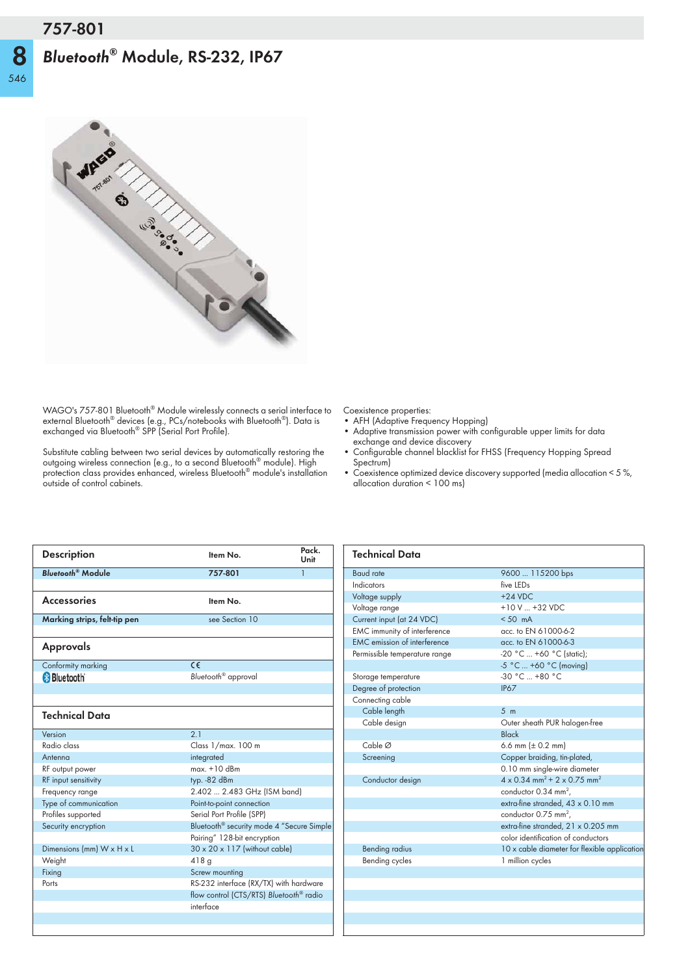# *Bluetooth***® Module, RS-232, IP67**

**8**



WAGO's 757-801 Bluetooth® Module wirelessly connects a serial interface to external Bluetooth® devices (e.g., PCs/notebooks with Bluetooth®). Data is exchanged via Bluetooth® SPP (Serial Port Profile).

Substitute cabling between two serial devices by automatically restoring the outgoing wireless connection (e.g., to a second Bluetooth® module). High protection class provides enhanced, wireless Bluetooth® module's installation outside of control cabinets.

Coexistence properties:

- AFH (Adaptive Frequency Hopping)
- Adaptive transmission power with configurable upper limits for data exchange and device discovery
- Configurable channel blacklist for FHSS (Frequency Hopping Spread Spectrum)
- Coexistence optimized device discovery supported (media allocation < 5 %, allocation duration < 100 ms)

| Item No.                        | Pack.<br>Unit                                                                                                                                                                                                                                                   |
|---------------------------------|-----------------------------------------------------------------------------------------------------------------------------------------------------------------------------------------------------------------------------------------------------------------|
| 757-801                         | $\mathbf{1}$                                                                                                                                                                                                                                                    |
|                                 |                                                                                                                                                                                                                                                                 |
|                                 |                                                                                                                                                                                                                                                                 |
| see Section 10                  |                                                                                                                                                                                                                                                                 |
|                                 |                                                                                                                                                                                                                                                                 |
|                                 |                                                                                                                                                                                                                                                                 |
| $C \in$                         |                                                                                                                                                                                                                                                                 |
| Bluetooth <sup>®</sup> approval |                                                                                                                                                                                                                                                                 |
|                                 |                                                                                                                                                                                                                                                                 |
|                                 |                                                                                                                                                                                                                                                                 |
|                                 |                                                                                                                                                                                                                                                                 |
| 2.1                             |                                                                                                                                                                                                                                                                 |
| Class 1/max. 100 m              |                                                                                                                                                                                                                                                                 |
| integrated                      |                                                                                                                                                                                                                                                                 |
|                                 |                                                                                                                                                                                                                                                                 |
| typ. -82 dBm                    |                                                                                                                                                                                                                                                                 |
|                                 |                                                                                                                                                                                                                                                                 |
| Point-to-point connection       |                                                                                                                                                                                                                                                                 |
| Serial Port Profile (SPP)       |                                                                                                                                                                                                                                                                 |
|                                 |                                                                                                                                                                                                                                                                 |
| Pairing" 128-bit encryption     |                                                                                                                                                                                                                                                                 |
|                                 |                                                                                                                                                                                                                                                                 |
| 418q                            |                                                                                                                                                                                                                                                                 |
| Screw mounting                  |                                                                                                                                                                                                                                                                 |
|                                 |                                                                                                                                                                                                                                                                 |
|                                 |                                                                                                                                                                                                                                                                 |
| interface                       |                                                                                                                                                                                                                                                                 |
|                                 |                                                                                                                                                                                                                                                                 |
|                                 | Item No.<br>$max.+10$ dBm<br>2.402  2.483 GHz (ISM band)<br>Bluetooth <sup>®</sup> security mode 4 "Secure Simple<br>$30 \times 20 \times 117$ (without cable)<br>RS-232 interface (RX/TX) with hardware<br>flow control (CTS/RTS) Bluetooth <sup>®</sup> radio |

| <b>Technical Data</b>               |                                                                   |
|-------------------------------------|-------------------------------------------------------------------|
| <b>Baud</b> rate                    | 9600  115200 bps                                                  |
| Indicators                          | five IFDs                                                         |
| Voltage supply                      | $+24$ VDC.                                                        |
| Voltage range                       | $+10$ V $ +32$ VDC                                                |
| Current input (at 24 VDC)           | $< 50 \text{ mA}$                                                 |
| EMC immunity of interference        | acc. to EN 61000-6-2                                              |
| <b>EMC</b> emission of interference | acc. to EN 61000-6-3                                              |
| Permissible temperature range       | -20 °C  +60 °C (static);                                          |
|                                     | -5 °C  +60 °C (moving)                                            |
| Storage temperature                 | $-30 °C$ +80 °C                                                   |
| Degree of protection                | <b>IP67</b>                                                       |
| Connecting cable                    |                                                                   |
| Cable length                        | 5 <sub>m</sub>                                                    |
| Cable design                        | Outer sheath PUR halogen-free                                     |
|                                     | Black                                                             |
| Cable $\varnothing$                 | 6.6 mm $(\pm 0.2 \text{ mm})$                                     |
| Screening                           | Copper braiding, tin-plated,                                      |
|                                     | 0.10 mm single-wire diameter                                      |
| Conductor design                    | $4 \times 0.34$ mm <sup>2</sup> + 2 $\times$ 0.75 mm <sup>2</sup> |
|                                     | conductor 0.34 mm <sup>2</sup> ,                                  |
|                                     | extra-fine stranded, 43 x 0.10 mm                                 |
|                                     | conductor 0.75 mm <sup>2</sup> ,                                  |
|                                     | extra-fine stranded, 21 x 0.205 mm                                |
|                                     | color identification of conductors                                |
| <b>Bending radius</b>               | 10 x cable diameter for flexible application                      |
| Bending cycles                      | 1 million cycles                                                  |
|                                     |                                                                   |
|                                     |                                                                   |
|                                     |                                                                   |
|                                     |                                                                   |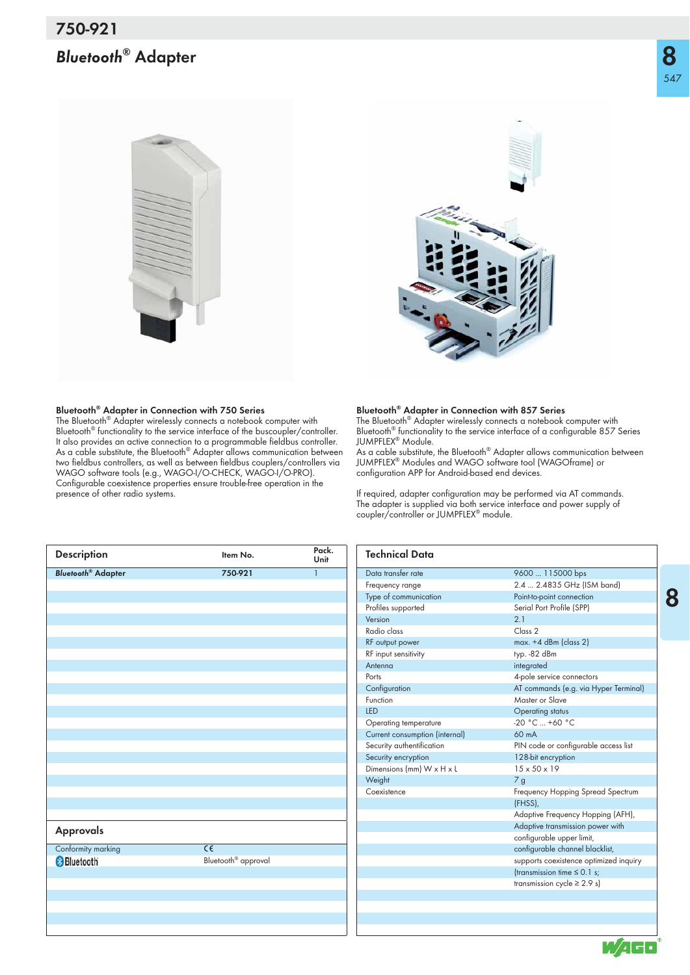# *Bluetooth***® Adapter**





### **Bluetooth® Adapter in Connection with 750 Series**

The Bluetooth® Adapter wirelessly connects a notebook computer with Bluetooth® functionality to the service interface of the buscoupler/controller. It also provides an active connection to a programmable fieldbus controller. As a cable substitute, the Bluetooth® Adapter allows communication between two fieldbus controllers, as well as between fieldbus couplers/controllers via WAGO software tools (e.g., WAGO-I/O-CHECK, WAGO-I/O-PRO). Configurable coexistence properties ensure trouble-free operation in the presence of other radio systems.

### **Bluetooth® Adapter in Connection with 857 Series**

The Bluetooth® Adapter wirelessly connects a notebook computer with Bluetooth® functionality to the service interface of a configurable 857 Series JUMPFLEX® Module.

As a cable substitute, the Bluetooth<sup>®</sup> Adapter allows communication between JUMPFLEX® Modules and WAGO software tool (WAGOframe) or configuration APP for Android-based end devices.

If required, adapter configuration may be performed via AT commands. The adapter is supplied via both service interface and power supply of coupler/controller or JUMPFLEX<sup>®</sup> module.

| <b>Description</b>                   | Item No.                        | Pack.<br>Unit | <b>Technical Data</b>          |                                        |
|--------------------------------------|---------------------------------|---------------|--------------------------------|----------------------------------------|
| <b>Bluetooth<sup>®</sup> Adapter</b> | 750-921                         |               | Data transfer rate             | 9600  115000 bps                       |
|                                      |                                 |               | Frequency range                | 2.4  2.4835 GHz (ISM band)             |
|                                      |                                 |               | Type of communication          | Point-to-point connection              |
|                                      |                                 |               | Profiles supported             | Serial Port Profile (SPP)              |
|                                      |                                 |               | Version                        | 2.1                                    |
|                                      |                                 |               | Radio class                    | Class 2                                |
|                                      |                                 |               | RF output power                | $max. +4$ dBm (class 2)                |
|                                      |                                 |               | RF input sensitivity           | typ. - 82 dBm                          |
|                                      |                                 |               | Antenna                        | integrated                             |
|                                      |                                 |               | Ports                          | 4-pole service connectors              |
|                                      |                                 |               | Configuration                  | AT commands (e.g. via Hyper Terminal)  |
|                                      |                                 |               | Function                       | Master or Slave                        |
|                                      |                                 |               | LED                            | Operating status                       |
|                                      |                                 |               | Operating temperature          | $-20 °C  +60 °C$                       |
|                                      |                                 |               | Current consumption (internal) | 60 mA                                  |
|                                      |                                 |               | Security authentification      | PIN code or configurable access list   |
|                                      |                                 |               | Security encryption            | 128-bit encryption                     |
|                                      |                                 |               | Dimensions (mm) W x H x L      | $15 \times 50 \times 19$               |
|                                      |                                 |               | Weight                         | 7 <sub>g</sub>                         |
|                                      |                                 |               | Coexistence                    | Frequency Hopping Spread Spectrum      |
|                                      |                                 |               |                                | (FHSS),                                |
|                                      |                                 |               |                                | Adaptive Frequency Hopping (AFH),      |
| <b>Approvals</b>                     |                                 |               |                                | Adaptive transmission power with       |
|                                      |                                 |               |                                | configurable upper limit,              |
| Conformity marking                   | $\overline{\epsilon}$           |               |                                | configurable channel blacklist,        |
| <b>Bluetooth</b>                     | Bluetooth <sup>®</sup> approval |               |                                | supports coexistence optimized inquiry |
|                                      |                                 |               |                                | (transmission time $\leq$ 0.1 s;       |
|                                      |                                 |               |                                | transmission cycle $\geq$ 2.9 s)       |
|                                      |                                 |               |                                |                                        |
|                                      |                                 |               |                                |                                        |
|                                      |                                 |               |                                |                                        |
|                                      |                                 |               |                                |                                        |



WAGO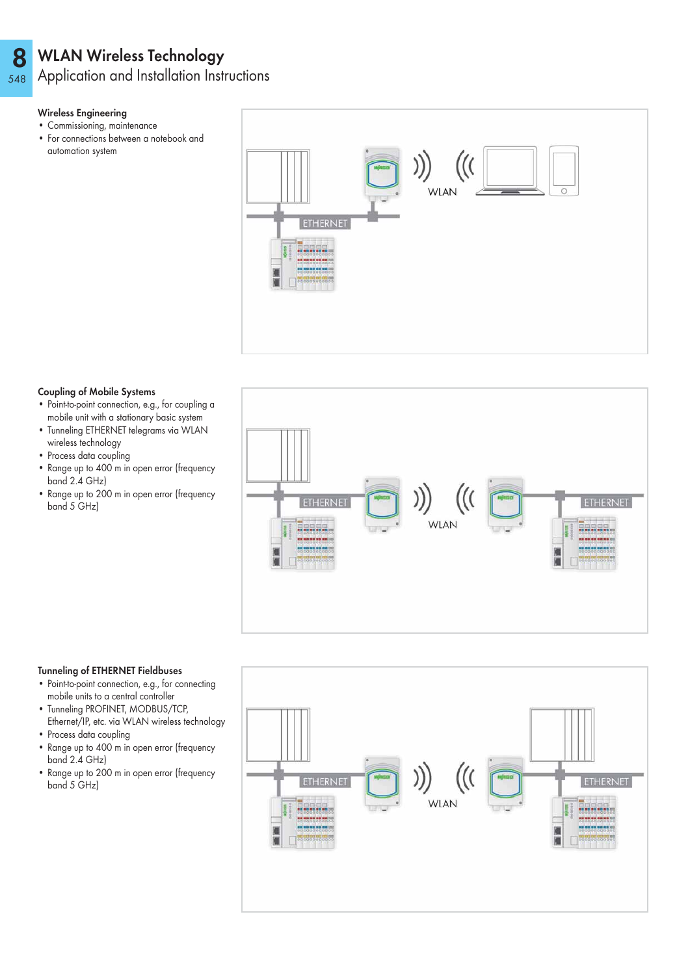### 8 WLAN Wireless Technology

548 Application and Installation Instructions

# Wireless Engineering

- Commissioning, maintenance
- For connections between a notebook and automation system



# Coupling of Mobile Systems

- Point-to-point connection, e.g., for coupling a mobile unit with a stationary basic system
- Tunneling ETHERNET telegrams via WLAN wireless technology
- Process data coupling
- Range up to 400 m in open error (frequency band 2.4 GHz)
- Range up to 200 m in open error (frequency band 5 GHz)



# Tunneling of ETHERNET Fieldbuses

- Point-to-point connection, e.g., for connecting mobile units to a central controller
- Tunneling PROFINET, MODBUS/TCP, Ethernet/IP, etc. via WLAN wireless technology
- Process data coupling
- Range up to 400 m in open error (frequency band 2.4 GHz)
- Range up to 200 m in open error (frequency band 5 GHz)

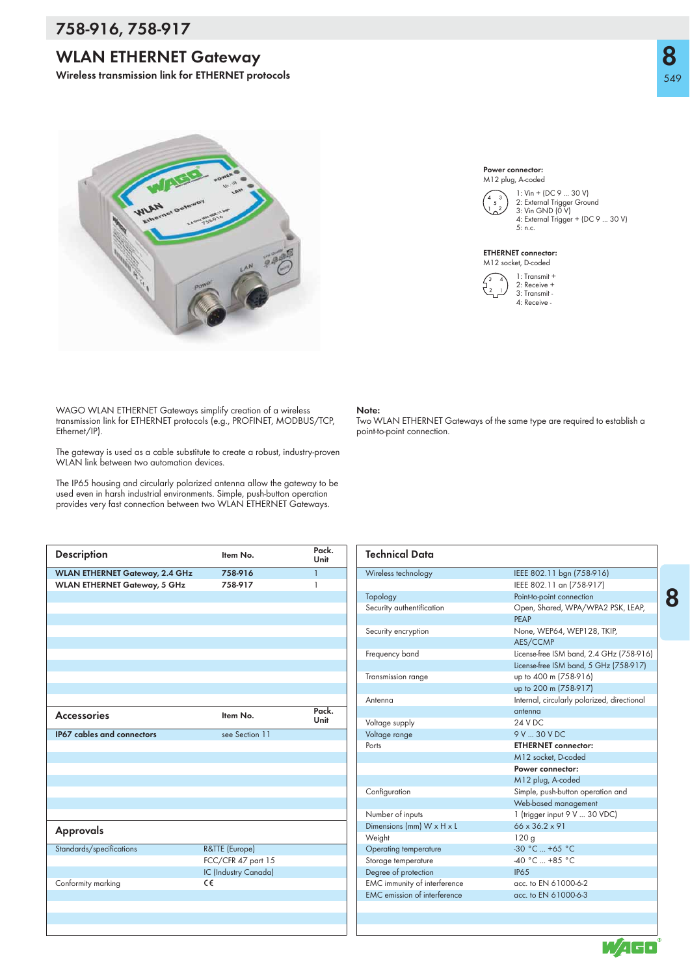# **758-916, 758-917**

# **WLAN ETHERNET Gateway**

**Wireless transmission link for ETHERNET protocols**



WAGO WLAN ETHERNET Gateways simplify creation of a wireless transmission link for ETHERNET protocols (e.g., PROFINET, MODBUS/TCP, Ethernet/IP).

The gateway is used as a cable substitute to create a robust, industry-proven WLAN link between two automation devices.

The IP65 housing and circularly polarized antenna allow the gateway to be used even in harsh industrial environments. Simple, push-button operation provides very fast connection between two WLAN ETHERNET Gateways.

| <b>Description</b>                    | Item No.             | Pack.<br>Unit  |
|---------------------------------------|----------------------|----------------|
| <b>WLAN ETHERNET Gateway, 2.4 GHz</b> | 758-916              | $\overline{1}$ |
| <b>WLAN ETHERNET Gateway, 5 GHz</b>   | 758-917              | 1              |
|                                       |                      |                |
|                                       |                      |                |
|                                       |                      |                |
|                                       |                      |                |
|                                       |                      |                |
|                                       |                      |                |
|                                       |                      |                |
|                                       |                      |                |
|                                       |                      |                |
|                                       |                      | Pack.          |
| <b>Accessories</b>                    | Item No.             | Unit           |
| <b>IP67 cables and connectors</b>     | see Section 11       |                |
|                                       |                      |                |
|                                       |                      |                |
|                                       |                      |                |
|                                       |                      |                |
|                                       |                      |                |
|                                       |                      |                |
|                                       |                      |                |
| Approvals                             |                      |                |
| Standards/specifications              | R&TTE (Europe)       |                |
|                                       | FCC/CFR 47 part 15   |                |
|                                       | IC (Industry Canada) |                |
| Conformity marking                    | C€                   |                |
|                                       |                      |                |
|                                       |                      |                |
|                                       |                      |                |
|                                       |                      |                |

### Power connector: M12 plug, A-coded



1: Vin + (DC 9 ... 30 V) 2: External Trigger Ground 3: Vin GND (0 V) 4: External Trigger + (DC 9 ... 30 V) 5: n.c.

### ETHERNET connector: M12 socket, D-coded



### **Note:**

Two WLAN ETHERNET Gateways of the same type are required to establish a point-to-point connection.

| <b>Technical Data</b>                 |                                             |
|---------------------------------------|---------------------------------------------|
| Wireless technology                   | IEEE 802.11 bgn (758-916)                   |
|                                       | IEEE 802.11 an (758-917)                    |
| Topology                              | Point-to-point connection                   |
| Security authentification             | Open, Shared, WPA/WPA2 PSK, LEAP,           |
|                                       | PFAP                                        |
| Security encryption                   | None, WEP64, WEP128, TKIP,                  |
|                                       | AES/CCMP                                    |
| Frequency band                        | License-free ISM band, 2.4 GHz (758-916)    |
|                                       | License-free ISM band, 5 GHz (758-917)      |
| Transmission range                    | up to 400 m (758-916)                       |
|                                       | up to 200 m (758-917)                       |
| Antenna                               | Internal, circularly polarized, directional |
|                                       | antenna                                     |
| Voltage supply                        | 24 V DC                                     |
| Voltage range                         | 9 V  30 V DC                                |
| Ports                                 | <b>ETHERNET</b> connector:                  |
|                                       | M12 socket. D-coded                         |
|                                       | Power connector:                            |
|                                       | M12 plug, A-coded                           |
| Configuration                         | Simple, push-button operation and           |
|                                       | Web-based management                        |
| Number of inputs                      | 1 (trigger input 9 V  30 VDC)               |
| Dimensions (mm) $W \times H \times L$ | $66 \times 36.2 \times 91$                  |
| Weight                                | 120g                                        |
| Operating temperature                 | $-30 °C  +65 °C$                            |
| Storage temperature                   | -40 °C  +85 °C                              |
| Degree of protection                  | <b>IP65</b>                                 |
| EMC immunity of interference          | acc. to EN 61000-6-2                        |
| <b>FMC</b> emission of interference   | acc. to EN 61000-6-3                        |
|                                       |                                             |

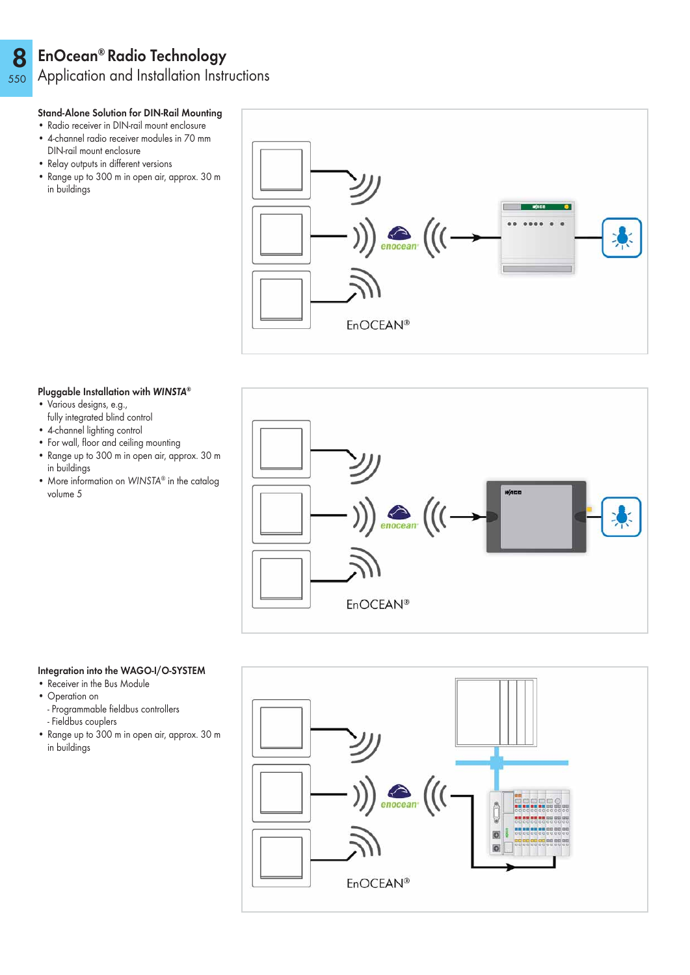### 8 EnOcean® Radio Technology

550 Application and Installation Instructions

# Stand-Alone Solution for DIN-Rail Mounting

- Radio receiver in DIN-rail mount enclosure
- 4-channel radio receiver modules in 70 mm DIN-rail mount enclosure
- Relay outputs in different versions
- Range up to 300 m in open air, approx. 30 m in buildings



### Pluggable Installation with WINSTA®

- Various designs, e.g.,
- fully integrated blind control
- 4-channel lighting control
- For wall, floor and ceiling mounting
- Range up to 300 m in open air, approx. 30 m in buildings
- More information on WINSTA® in the catalog volume 5



# Integration into the WAGO-I/O-SYSTEM

- Receiver in the Bus Module
- Operation on
	- Programmable fieldbus controllers
- Fieldbus couplers
- Range up to 300 m in open air, approx. 30 m in buildings

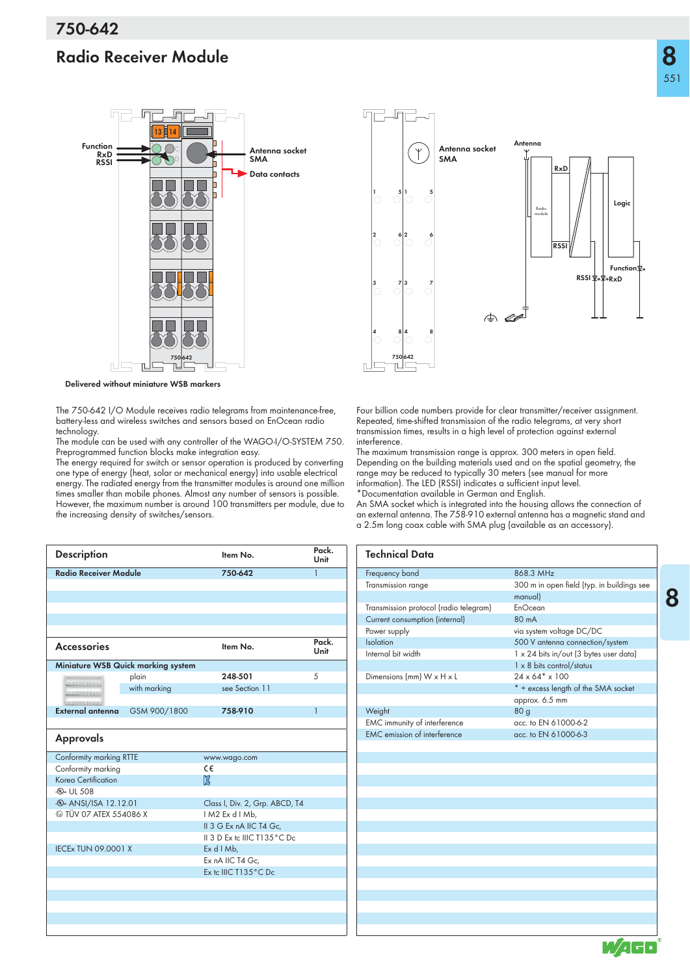# **Radio Receiver Module**



**Delivered without miniature WSB markers**

The 750-642 I/O Module receives radio telegrams from maintenance-free, battery-less and wireless switches and sensors based on EnOcean radio technology.

The module can be used with any controller of the WAGO-I/O-SYSTEM 750. Preprogrammed function blocks make integration easy.

The energy required for switch or sensor operation is produced by converting one type of energy (heat, solar or mechanical energy) into usable electrical energy. The radiated energy from the transmitter modules is around one million times smaller than mobile phones. Almost any number of sensors is possible. However, the maximum number is around 100 transmitters per module, due to the increasing density of switches/sensors.

| <b>Description</b>                      |                                    | Item No.                       | Pack.<br>Unit |  |
|-----------------------------------------|------------------------------------|--------------------------------|---------------|--|
| <b>Radio Receiver Module</b>            |                                    | 750-642                        | $\mathbf{1}$  |  |
|                                         |                                    |                                |               |  |
|                                         |                                    |                                |               |  |
|                                         |                                    |                                |               |  |
|                                         |                                    |                                |               |  |
|                                         |                                    |                                |               |  |
| <b>Accessories</b>                      |                                    | Item No.                       | Pack.<br>Unit |  |
|                                         | Miniature WSB Quick marking system |                                |               |  |
| <b>SERIENTRIES</b>                      | plain                              | 248-501                        | 5             |  |
| <b>CHEESEL</b>                          | with marking                       | see Section 11                 |               |  |
|                                         |                                    |                                |               |  |
| <b>External antenna</b>                 | GSM 900/1800                       | 758-910                        | $\mathbf{1}$  |  |
|                                         |                                    |                                |               |  |
| <b>Approvals</b>                        |                                    |                                |               |  |
| Conformity marking RTTE                 |                                    | www.wago.com                   |               |  |
| Conformity marking                      |                                    | C€                             |               |  |
| Korea Certification                     |                                    | ß                              |               |  |
| (4). UL 508                             |                                    |                                |               |  |
| <b><i><b></b></i></b> ANSI/ISA 12.12.01 |                                    | Class I, Div. 2, Grp. ABCD, T4 |               |  |
| <b>E</b> TÜV 07 ATEX 554086 X           |                                    | IM2 Ex d I Mb,                 |               |  |
|                                         |                                    | II 3 G Ex nA IIC T4 Gc,        |               |  |
|                                         |                                    | II 3 D Ex to IIIC T135°C Do    |               |  |
| <b>IECEx TUN 09.0001 X</b>              |                                    | $Ex$ d $1$ Mb,                 |               |  |
|                                         |                                    | Ex nA IIC T4 Gc.               |               |  |
|                                         |                                    | Ex to IIIC T135°C Do           |               |  |
|                                         |                                    |                                |               |  |
|                                         |                                    |                                |               |  |
|                                         |                                    |                                |               |  |
|                                         |                                    |                                |               |  |
|                                         |                                    |                                |               |  |



Four billion code numbers provide for clear transmitter/receiver assignment. Repeated, time-shifted transmission of the radio telegrams, at very short transmission times, results in a high level of protection against external interference.

The maximum transmission range is approx. 300 meters in open field. Depending on the building materials used and on the spatial geometry, the range may be reduced to typically 30 meters (see manual for more information). The LED (RSSI) indicates a sufficient input level. \*Documentation available in German and English.

An SMA socket which is integrated into the housing allows the connection of an external antenna. The 758-910 external antenna has a magnetic stand and a 2.5m long coax cable with SMA plug (available as an accessory).

| <b>Technical Data</b>                  |                                            |
|----------------------------------------|--------------------------------------------|
| Frequency band                         | 868 3 MHz                                  |
| Transmission range                     | 300 m in open field (typ. in buildings see |
|                                        | manual)                                    |
| Transmission protocol (radio telegram) | EnOcean                                    |
| Current consumption (internal)         | 80 mA                                      |
| Power supply                           | via system voltage DC/DC                   |
| Isolation                              | 500 V antenna connection/system            |
| Internal bit width                     | 1 x 24 bits in/out (3 bytes user data)     |
|                                        | $1 \times 8$ bits control/status           |
| Dimensions (mm) W x H x L              | $24 \times 64$ * $\times 100$              |
|                                        | * + excess length of the SMA socket        |
|                                        | approx. 6.5 mm                             |
| Weight                                 | 80 <sub>q</sub>                            |
| EMC immunity of interference           | acc. to EN 61000-6-2                       |
| <b>EMC</b> emission of interference    | acc. to EN 61000-6-3                       |
|                                        |                                            |
|                                        |                                            |
|                                        |                                            |
|                                        |                                            |
|                                        |                                            |
|                                        |                                            |
|                                        |                                            |
|                                        |                                            |
|                                        |                                            |
|                                        |                                            |
|                                        |                                            |
|                                        |                                            |
|                                        |                                            |

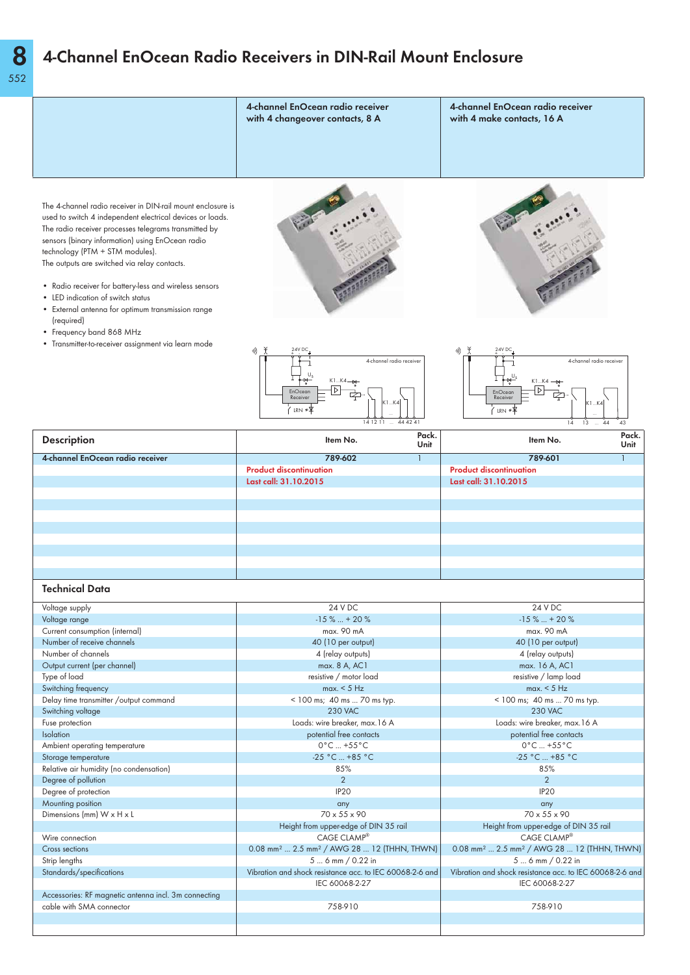# **4-Channel EnOcean Radio Receivers in DIN-Rail Mount Enclosure**

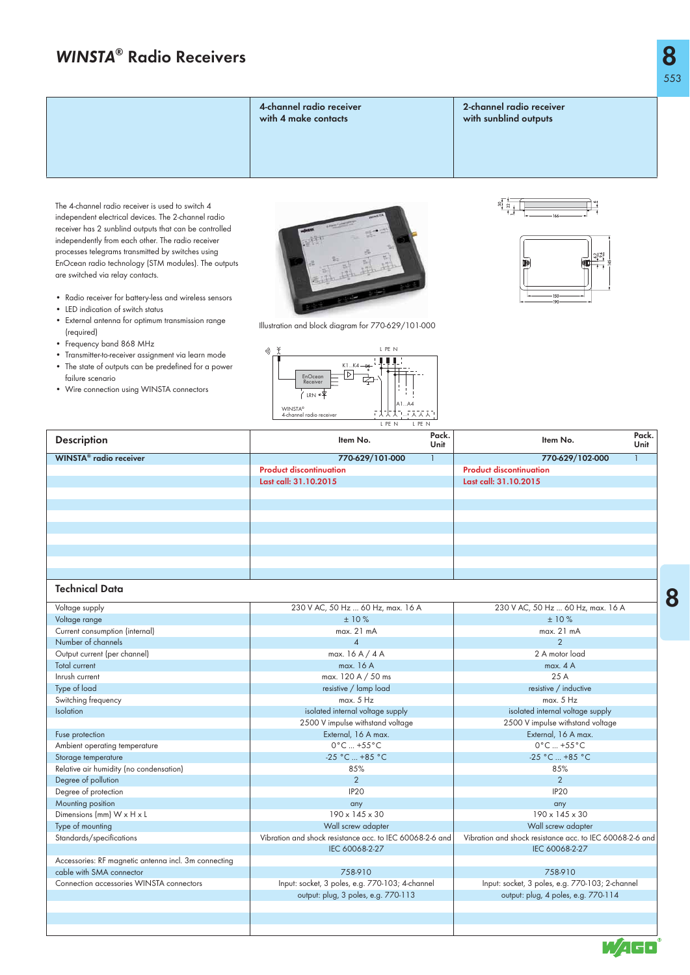**4-channel radio receiver with 4 make contacts**

**2-channel radio receiver with sunblind outputs**

The 4-channel radio receiver is used to switch 4 independent electrical devices. The 2-channel radio receiver has 2 sunblind outputs that can be controlled independently from each other. The radio receiver processes telegrams transmitted by switches using EnOcean radio technology (STM modules). The outputs are switched via relay contacts.

- Radio receiver for battery-less and wireless sensors
- LED indication of switch status
- External antenna for optimum transmission range (required)
- Frequency band 868 MHz
- Transmitter-to-receiver assignment via learn mode • The state of outputs can be predefined for a power failure scenario
- Wire connection using WINSTA connectors



Illustration and block diagram for 770-629/101-000

冋

 $K_4 \rightarrow$ 

A1...A4 ...

L PE N

**CLLL** 

WINSTA® 4-channel radio receiver

 $'$ IRN' EnOcean **Receiver** 

v))





| <b>Description</b>                                   | L PE N<br>L PE N<br>Pack.<br>Item No.<br>Unit            | Pack.<br>Item No.<br>Unit                                |
|------------------------------------------------------|----------------------------------------------------------|----------------------------------------------------------|
| WINSTA <sup>®</sup> radio receiver                   | 770-629/101-000<br>$\mathbf{1}$                          | 770-629/102-000                                          |
|                                                      | <b>Product discontinuation</b>                           | <b>Product discontinuation</b>                           |
|                                                      | Last call: 31.10.2015                                    | Last call: 31.10.2015                                    |
|                                                      |                                                          |                                                          |
|                                                      |                                                          |                                                          |
|                                                      |                                                          |                                                          |
|                                                      |                                                          |                                                          |
|                                                      |                                                          |                                                          |
|                                                      |                                                          |                                                          |
|                                                      |                                                          |                                                          |
|                                                      |                                                          |                                                          |
| Technical Data                                       |                                                          |                                                          |
| Voltage supply                                       | 230 V AC, 50 Hz  60 Hz, max. 16 A                        | 230 V AC, 50 Hz  60 Hz, max. 16 A                        |
| Voltage range                                        | ±10%                                                     | ±10%                                                     |
| Current consumption (internal)                       | max. 21 mA                                               | max. 21 mA                                               |
| Number of channels                                   | $\overline{4}$                                           | $\overline{2}$                                           |
| Output current (per channel)                         | max. $16A/4A$                                            | 2 A motor load                                           |
| <b>Total current</b>                                 | max. 16 A                                                | max. 4A                                                  |
| Inrush current                                       | max. 120 A / 50 ms                                       | 25A                                                      |
| Type of load                                         | resistive / lamp load                                    | resistive / inductive                                    |
| Switching frequency                                  | max. 5 Hz                                                | max. 5 Hz                                                |
| <b>Isolation</b>                                     | isolated internal voltage supply                         | isolated internal voltage supply                         |
|                                                      | 2500 V impulse withstand voltage                         | 2500 V impulse withstand voltage                         |
| Fuse protection                                      | External, 16 A max.                                      | External, 16 A max.                                      |
| Ambient operating temperature                        | $0^{\circ}$ C  +55 $^{\circ}$ C                          | $0^{\circ}$ C  +55 $^{\circ}$ C                          |
| Storage temperature                                  | $-25 °C  +85 °C$                                         | -25 °C  +85 °C                                           |
| Relative air humidity (no condensation)              | 85%                                                      | 85%                                                      |
| Degree of pollution                                  | 2                                                        | $\overline{2}$                                           |
| Degree of protection                                 | IP <sub>20</sub>                                         | IP <sub>20</sub>                                         |
| Mounting position                                    | any                                                      | any                                                      |
| Dimensions (mm) W x H x L                            | $190 \times 145 \times 30$                               | $190 \times 145 \times 30$                               |
| Type of mounting                                     | Wall screw adapter                                       | Wall screw adapter                                       |
| Standards/specifications                             | Vibration and shock resistance acc. to IEC 60068-2-6 and | Vibration and shock resistance acc. to IEC 60068-2-6 and |
|                                                      | IEC 60068-2-27                                           | IEC 60068-2-27                                           |
| Accessories: RF magnetic antenna incl. 3m connecting |                                                          |                                                          |
| cable with SMA connector                             | 758-910                                                  | 758-910                                                  |
| Connection accessories WINSTA connectors             | Input: socket, 3 poles, e.g. 770-103; 4-channel          | Input: socket, 3 poles, e.g. 770-103; 2-channel          |
|                                                      | output: plug, 3 poles, e.g. 770-113                      | output: plug, 4 poles, e.g. 770-114                      |
|                                                      |                                                          |                                                          |
|                                                      |                                                          |                                                          |
|                                                      |                                                          |                                                          |